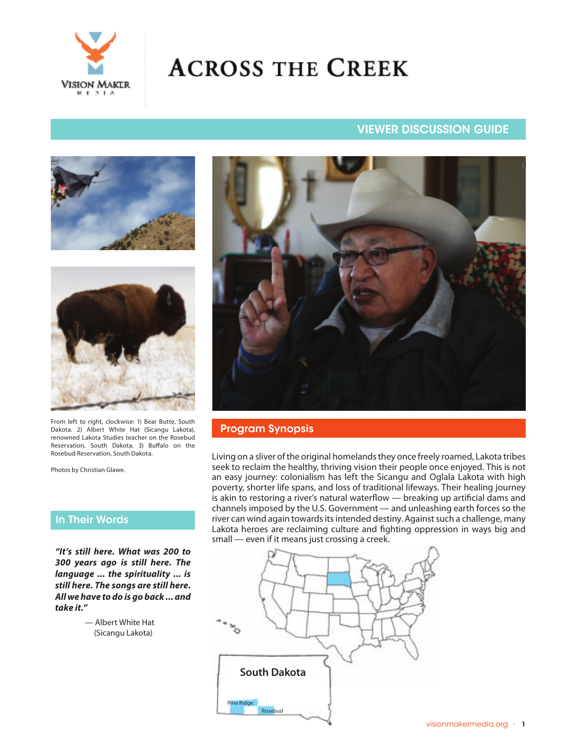

# **ACROSS THE CREEK**

# VIEWER DISCUSSION GUIDE





From left to right, clockwise: 1) Bear Butte, South Dakota. 2) Albert White Hat (Sicangu Lakota), renowned Lakota Studies teacher on the Rosebud Reservation, South Dakota. 3) Buffalo on the Rosebud Reservation, South Dakota.

Photos by Christian Glawe.

# In Their Words

**"It's still here. What was 200 to 300 years ago is still here. The language ... the spirituality ... is still here. The songs are still here. All we have to do is go back ... and take it."**

> — Albert White Hat (Sicangu Lakota)



#### Program Synopsis

Living on a sliver of the original homelands they once freely roamed, Lakota tribes seek to reclaim the healthy, thriving vision their people once enjoyed. This is not an easy journey: colonialism has left the Sicangu and Oglala Lakota with high poverty, shorter life spans, and loss of traditional lifeways. Their healing journey is akin to restoring a river's natural waterflow — breaking up artificial dams and channels imposed by the U.S. Government — and unleashing earth forces so the river can wind again towards its intended destiny. Against such a challenge, many Lakota heroes are reclaiming culture and fighting oppression in ways big and small — even if it means just crossing a creek.

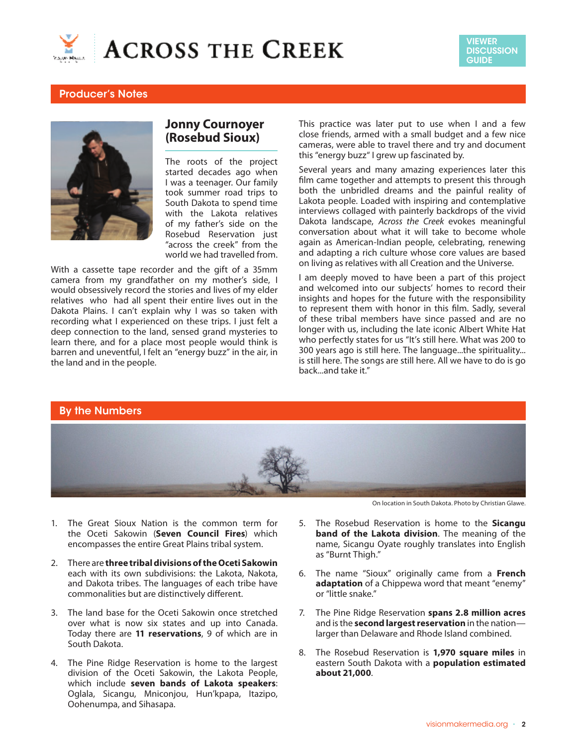



## Producer's Notes



# **Jonny Cournoyer (Rosebud Sioux)**

The roots of the project started decades ago when I was a teenager. Our family took summer road trips to South Dakota to spend time with the Lakota relatives of my father's side on the Rosebud Reservation just "across the creek" from the world we had travelled from.

With a cassette tape recorder and the gift of a 35mm camera from my grandfather on my mother's side, I would obsessively record the stories and lives of my elder relatives who had all spent their entire lives out in the Dakota Plains. I can't explain why I was so taken with recording what I experienced on these trips. I just felt a deep connection to the land, sensed grand mysteries to learn there, and for a place most people would think is barren and uneventful, I felt an "energy buzz" in the air, in the land and in the people.

This practice was later put to use when I and a few close friends, armed with a small budget and a few nice cameras, were able to travel there and try and document this "energy buzz" I grew up fascinated by.

Several years and many amazing experiences later this film came together and attempts to present this through both the unbridled dreams and the painful reality of Lakota people. Loaded with inspiring and contemplative interviews collaged with painterly backdrops of the vivid Dakota landscape, *Across the Creek* evokes meaningful conversation about what it will take to become whole again as American-Indian people, celebrating, renewing and adapting a rich culture whose core values are based on living as relatives with all Creation and the Universe.

I am deeply moved to have been a part of this project and welcomed into our subjects' homes to record their insights and hopes for the future with the responsibility to represent them with honor in this film. Sadly, several of these tribal members have since passed and are no longer with us, including the late iconic Albert White Hat who perfectly states for us "It's still here. What was 200 to 300 years ago is still here. The language...the spirituality... is still here. The songs are still here. All we have to do is go back...and take it."

#### By the Numbers



- 1. The Great Sioux Nation is the common term for the Oceti Sakowin (**Seven Council Fires**) which encompasses the entire Great Plains tribal system.
- 2. There are **three tribal divisions of the Oceti Sakowin**  each with its own subdivisions: the Lakota, Nakota, and Dakota tribes. The languages of each tribe have commonalities but are distinctively different.
- 3. The land base for the Oceti Sakowin once stretched over what is now six states and up into Canada. Today there are **11 reservations**, 9 of which are in South Dakota.
- 4. The Pine Ridge Reservation is home to the largest division of the Oceti Sakowin, the Lakota People, which include **seven bands of Lakota speakers**: Oglala, Sicangu, Mniconjou, Hun'kpapa, Itazipo, Oohenumpa, and Sihasapa.

On location in South Dakota. Photo by Christian Glawe.

- 5. The Rosebud Reservation is home to the **Sicangu band of the Lakota division**. The meaning of the name, Sicangu Oyate roughly translates into English as "Burnt Thigh."
- 6. The name "Sioux" originally came from a **French adaptation** of a Chippewa word that meant "enemy" or "little snake."
- 7. The Pine Ridge Reservation **spans 2.8 million acres** and is the **second largest reservation** in the nation larger than Delaware and Rhode Island combined.
- 8. The Rosebud Reservation is **1,970 square miles** in eastern South Dakota with a **population estimated about 21,000**.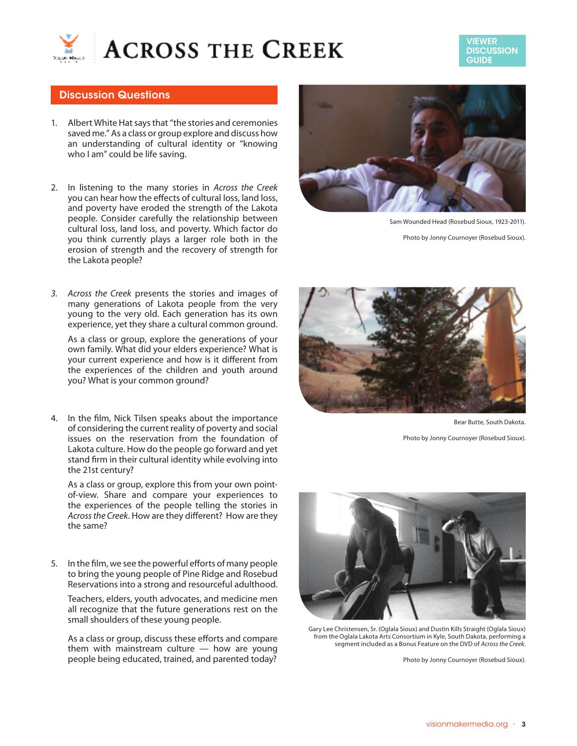

VIEWER **DISCUSSION GUIDE** 

#### Discussion Questions

- 1. Albert White Hat says that "the stories and ceremonies saved me." As a class or group explore and discuss how an understanding of cultural identity or "knowing who I am" could be life saving.
- 2. In listening to the many stories in *Across the Creek*  you can hear how the effects of cultural loss, land loss, and poverty have eroded the strength of the Lakota people. Consider carefully the relationship between cultural loss, land loss, and poverty. Which factor do you think currently plays a larger role both in the erosion of strength and the recovery of strength for the Lakota people?
- *3. Across the Creek* presents the stories and images of many generations of Lakota people from the very young to the very old. Each generation has its own experience, yet they share a cultural common ground.

As a class or group, explore the generations of your own family. What did your elders experience? What is your current experience and how is it different from the experiences of the children and youth around you? What is your common ground?

4. In the film, Nick Tilsen speaks about the importance of considering the current reality of poverty and social issues on the reservation from the foundation of Lakota culture. How do the people go forward and yet stand firm in their cultural identity while evolving into the 21st century?

As a class or group, explore this from your own pointof-view. Share and compare your experiences to the experiences of the people telling the stories in *Across the Creek*. How are they different? How are they the same?

5. In the film, we see the powerful efforts of many people to bring the young people of Pine Ridge and Rosebud Reservations into a strong and resourceful adulthood.

Teachers, elders, youth advocates, and medicine men all recognize that the future generations rest on the small shoulders of these young people.

As a class or group, discuss these efforts and compare them with mainstream culture — how are young people being educated, trained, and parented today?



Sam Wounded Head (Rosebud Sioux, 1923-2011).

Photo by Jonny Cournoyer (Rosebud Sioux).



Bear Butte, South Dakota.

Photo by Jonny Cournoyer (Rosebud Sioux).



Gary Lee Christensen, Sr. (Oglala Sioux) and Dustin Kills Straight (Oglala Sioux) from the Oglala Lakota Arts Consortium in Kyle, South Dakota, performing a segment included as a Bonus Feature on the DVD of *Across the Creek*.

Photo by Jonny Cournoyer (Rosebud Sioux).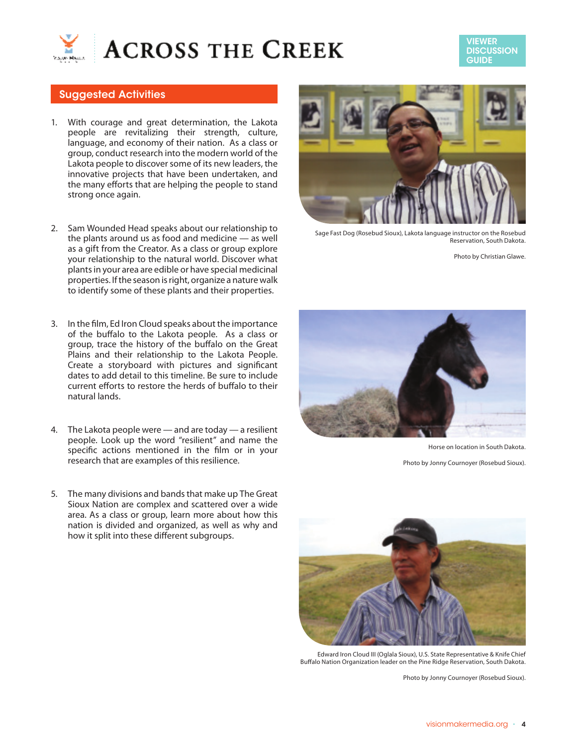



### Suggested Activities

- 1. With courage and great determination, the Lakota people are revitalizing their strength, culture, language, and economy of their nation. As a class or group, conduct research into the modern world of the Lakota people to discover some of its new leaders, the innovative projects that have been undertaken, and the many efforts that are helping the people to stand strong once again.
- 2. Sam Wounded Head speaks about our relationship to the plants around us as food and medicine — as well as a gift from the Creator. As a class or group explore your relationship to the natural world. Discover what plants in your area are edible or have special medicinal properties. If the season is right, organize a nature walk to identify some of these plants and their properties.
- 3. In the film, Ed Iron Cloud speaks about the importance of the buffalo to the Lakota people. As a class or group, trace the history of the buffalo on the Great Plains and their relationship to the Lakota People. Create a storyboard with pictures and significant dates to add detail to this timeline. Be sure to include current efforts to restore the herds of buffalo to their natural lands.
- 4. The Lakota people were and are today a resilient people. Look up the word "resilient" and name the specific actions mentioned in the film or in your research that are examples of this resilience.
- 5. The many divisions and bands that make up The Great Sioux Nation are complex and scattered over a wide area. As a class or group, learn more about how this nation is divided and organized, as well as why and how it split into these different subgroups.



Sage Fast Dog (Rosebud Sioux), Lakota language instructor on the Rosebud Reservation, South Dakota.

Photo by Christian Glawe.



Horse on location in South Dakota.

Photo by Jonny Cournoyer (Rosebud Sioux).



Edward Iron Cloud III (Oglala Sioux), U.S. State Representative & Knife Chief Buffalo Nation Organization leader on the Pine Ridge Reservation, South Dakota.

Photo by Jonny Cournoyer (Rosebud Sioux).